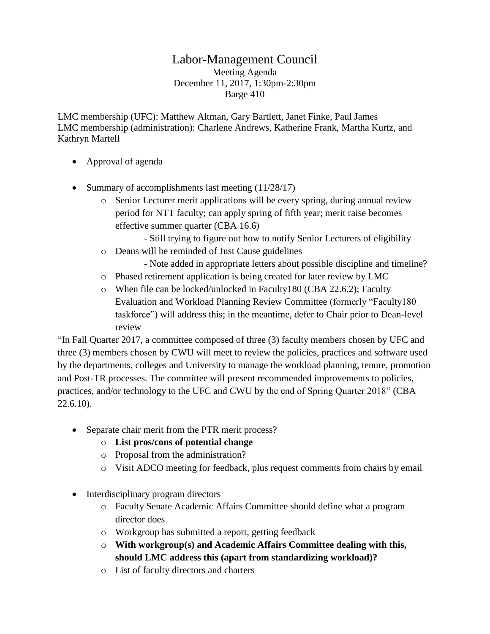## Labor-Management Council

Meeting Agenda December 11, 2017, 1:30pm-2:30pm Barge 410

LMC membership (UFC): Matthew Altman, Gary Bartlett, Janet Finke, Paul James LMC membership (administration): Charlene Andrews, Katherine Frank, Martha Kurtz, and Kathryn Martell

- Approval of agenda
- Summary of accomplishments last meeting  $(11/28/17)$ 
	- $\circ$  Senior Lecturer merit applications will be every spring, during annual review period for NTT faculty; can apply spring of fifth year; merit raise becomes effective summer quarter (CBA 16.6)
		- Still trying to figure out how to notify Senior Lecturers of eligibility
	- o Deans will be reminded of Just Cause guidelines
		- Note added in appropriate letters about possible discipline and timeline?
	- o Phased retirement application is being created for later review by LMC
	- o When file can be locked/unlocked in Faculty180 (CBA 22.6.2); Faculty Evaluation and Workload Planning Review Committee (formerly "Faculty180 taskforce") will address this; in the meantime, defer to Chair prior to Dean-level review

"In Fall Quarter 2017, a committee composed of three (3) faculty members chosen by UFC and three (3) members chosen by CWU will meet to review the policies, practices and software used by the departments, colleges and University to manage the workload planning, tenure, promotion and Post-TR processes. The committee will present recommended improvements to policies, practices, and/or technology to the UFC and CWU by the end of Spring Quarter 2018" (CBA 22.6.10).

- Separate chair merit from the PTR merit process?
	- o **List pros/cons of potential change**
	- o Proposal from the administration?
	- o Visit ADCO meeting for feedback, plus request comments from chairs by email
- Interdisciplinary program directors
	- o Faculty Senate Academic Affairs Committee should define what a program director does
	- o Workgroup has submitted a report, getting feedback
	- o **With workgroup(s) and Academic Affairs Committee dealing with this, should LMC address this (apart from standardizing workload)?**
	- o List of faculty directors and charters